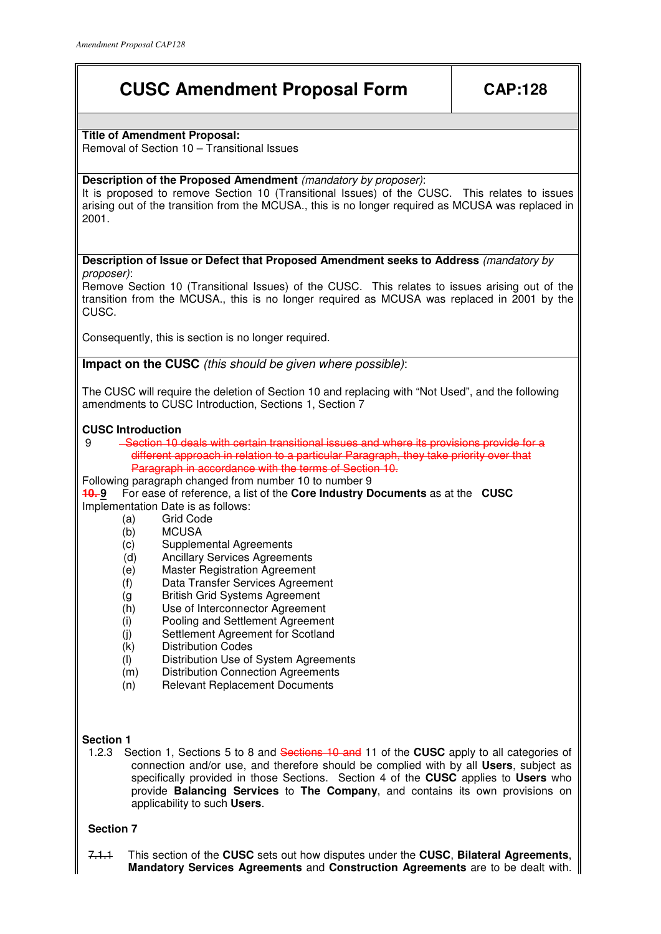# **CUSC Amendment Proposal Form | CAP:128**

# **Title of Amendment Proposal:**

Removal of Section 10 – Transitional Issues

# **Description of the Proposed Amendment** (mandatory by proposer):

It is proposed to remove Section 10 (Transitional Issues) of the CUSC. This relates to issues arising out of the transition from the MCUSA., this is no longer required as MCUSA was replaced in 2001.

**Description of Issue or Defect that Proposed Amendment seeks to Address** (mandatory by proposer):

Remove Section 10 (Transitional Issues) of the CUSC. This relates to issues arising out of the transition from the MCUSA., this is no longer required as MCUSA was replaced in 2001 by the CUSC.

Consequently, this is section is no longer required.

**Impact on the CUSC** (this should be given where possible):

The CUSC will require the deletion of Section 10 and replacing with "Not Used", and the following amendments to CUSC Introduction, Sections 1, Section 7

## **CUSC Introduction**

- 9 Section 10 deals with certain transitional issues and where its provisions provide for a different approach in relation to a particular Paragraph, they take priority over that Paragraph in accordance with the terms of Section 10.
- Following paragraph changed from number 10 to number 9

**10. 9** For ease of reference, a list of the **Core Industry Documents** as at the **CUSC** Implementation Date is as follows:

- (a) Grid Code
- (b) MCUSA
- (c) Supplemental Agreements
- (d) Ancillary Services Agreements
- (e) Master Registration Agreement
- (f) Data Transfer Services Agreement
- (g British Grid Systems Agreement
- (h) Use of Interconnector Agreement
- (i) Pooling and Settlement Agreement
- (j) Settlement Agreement for Scotland
- (k) Distribution Codes
- (l) Distribution Use of System Agreements
- (m) Distribution Connection Agreements
- (n) Relevant Replacement Documents

# **Section 1**

1.2.3Section 1, Sections 5 to 8 and Sections 10 and 11 of the **CUSC** apply to all categories of connection and/or use, and therefore should be complied with by all **Users**, subject as specifically provided in those Sections. Section 4 of the **CUSC** applies to **Users** who provide **Balancing Services** to **The Company**, and contains its own provisions on applicability to such **Users**.

# **Section 7**

7.1.1 This section of the **CUSC** sets out how disputes under the **CUSC**, **Bilateral Agreements**, **Mandatory Services Agreements** and **Construction Agreements** are to be dealt with.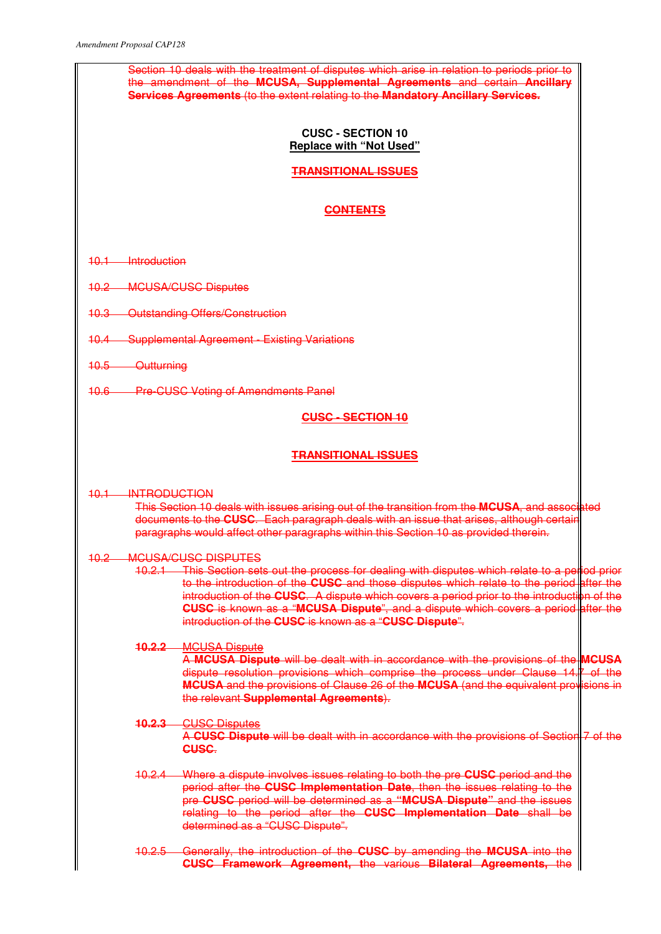| Section 10 deals with the treatment of disputes which arise in relation to periods prior to<br>the amendment of the MCUSA, Supplemental Agreements and certain Ancillary<br><b>Services Agreements (to the extent relating to the Mandatory Ancillary Services.</b>                                                                                                                                                                                                                                |  |  |
|----------------------------------------------------------------------------------------------------------------------------------------------------------------------------------------------------------------------------------------------------------------------------------------------------------------------------------------------------------------------------------------------------------------------------------------------------------------------------------------------------|--|--|
| <b>CUSC - SECTION 10</b><br><b>Replace with "Not Used"</b>                                                                                                                                                                                                                                                                                                                                                                                                                                         |  |  |
| <b>TRANSITIONAL ISSUES</b>                                                                                                                                                                                                                                                                                                                                                                                                                                                                         |  |  |
| <b>CONTENTS</b>                                                                                                                                                                                                                                                                                                                                                                                                                                                                                    |  |  |
| 10.1 Introduction                                                                                                                                                                                                                                                                                                                                                                                                                                                                                  |  |  |
| <b>10.2 MCUSA/CUSC Disputes</b>                                                                                                                                                                                                                                                                                                                                                                                                                                                                    |  |  |
| 10.3 Outstanding Offers/Construction                                                                                                                                                                                                                                                                                                                                                                                                                                                               |  |  |
| 10.4 Supplemental Agreement - Existing Variations                                                                                                                                                                                                                                                                                                                                                                                                                                                  |  |  |
| 10.5 Outturning                                                                                                                                                                                                                                                                                                                                                                                                                                                                                    |  |  |
| 10.6 Pre-CUSC Voting of Amendments Panel                                                                                                                                                                                                                                                                                                                                                                                                                                                           |  |  |
| <b>CUSC - SECTION 10</b>                                                                                                                                                                                                                                                                                                                                                                                                                                                                           |  |  |
| <b>TRANSITIONAL ISSUES</b>                                                                                                                                                                                                                                                                                                                                                                                                                                                                         |  |  |
| 10.1 INTRODUCTION<br>This Section 10 deals with issues arising out of the transition from the MCUSA, and associated<br>documents to the CUSC. Each paragraph deals with an issue that arises, although certain<br>paragraphs would affect other paragraphs within this Section 10 as provided therein.                                                                                                                                                                                             |  |  |
| <b>MCUSA/CUSC DISPUTES</b><br><del>10.2-</del><br>10.2.1 This Section sets out the process for dealing with disputes which relate to a period prior<br>to the introduction of the CUSC and those disputes which relate to the period after the<br>introduction of the CUSC. A dispute which covers a period prior to the introduction of the<br><b>CUSC</b> is known as a "MCUSA Dispute", and a dispute which covers a period after the<br>introduction of the CUSC is known as a "CUSC Dispute". |  |  |
| <b>MCUSA Dispute</b><br><u> 10.2.2 - </u><br>A MCUSA Dispute will be dealt with in accordance with the provisions of the MCUSA<br>dispute resolution provisions which comprise the process under Clause 14.7 of the<br><b>MCUSA</b> and the provisions of Clause 26 of the MCUSA (and the equivalent provisions in<br>the relevant Supplemental Agreements).                                                                                                                                       |  |  |
| <b>CUSC Disputes</b><br><u> 10.2.3 - </u><br>A CUSC Dispute will be dealt with in accordance with the provisions of Section 7 of the<br>CUSC.                                                                                                                                                                                                                                                                                                                                                      |  |  |
| Where a dispute involves issues relating to both the pre <b>CUSC</b> period and the<br><del>10.2.4 </del><br>period after the CUSC Implementation Date, then the issues relating to the<br>pre CUSC period will be determined as a "MCUSA Dispute" and the issues<br>relating to the period after the <b>CUSC Implementation Date</b> shall be<br>determined as a "CUSC Dispute".                                                                                                                  |  |  |
| 10.2.5 Generally, the introduction of the CUSC by amending the MCUSA into the<br><b>CUSC Framework Agreement, the various Bilateral Agreements, the</b>                                                                                                                                                                                                                                                                                                                                            |  |  |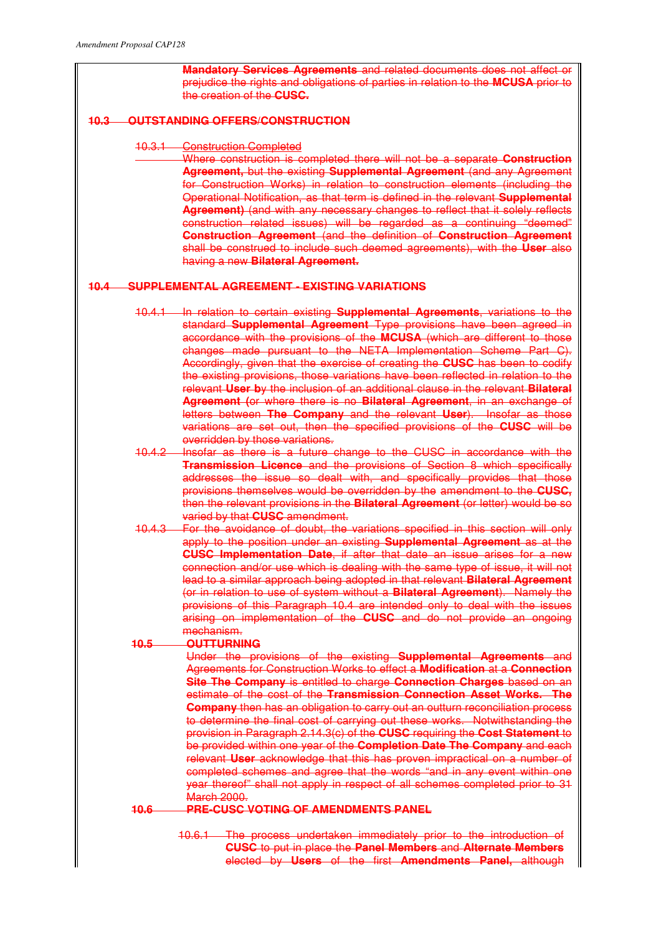**Mandatory Services Agreements** and related documents does not affect or prejudice the rights and obligations of parties in relation to the **MCUSA** prior to the creation of the **CUSC.**

# **10.3 OUTSTANDING OFFERS/CONSTRUCTION**

#### 10.3.1 Construction Completed

Where construction is completed there will not be a separate **Construction Agreement,** but the existing **Supplemental Agreement** (and any Agreement for Construction Works) in relation to construction elements (including the Operational Notification, as that term is defined in the relevant **Supplemental Agreement)** (and with any necessary changes to reflect that it solely reflects construction related issues) will be regarded as a continuing "deemed" **Construction Agreement** (and the definition of **Construction Agreement** shall be construed to include such deemed agreements), with the **User** also having a new **Bilateral Agreement.**

## **10.4 SUPPLEMENTAL AGREEMENT - EXISTING VARIATIONS**

- 10.4.1 In relation to certain existing **Supplemental Agreements**, variations to the standard **Supplemental Agreement** Type provisions have been agreed in accordance with the provisions of the **MCUSA** (which are different to those changes made pursuant to the NETA Implementation Scheme Part C). Accordingly, given that the exercise of creating the **CUSC** has been to codify the existing provisions, those variations have been reflected in relation to the relevant **User b**y the inclusion of an additional clause in the relevant **Bilateral Agreement (**or where there is no **Bilateral Agreement**, in an exchange of letters between **The Company** and the relevant **User**).Insofar as those variations are set out, then the specified provisions of the **CUSC** will be overridden by those variations.
- 10.4.2 Insofar as there is a future change to the CUSC in accordance with the **Transmission Licence** and the provisions of Section 8 which specifically addresses the issue so dealt with, and specifically provides that those provisions themselves would be overridden by the amendment to the **CUSC,**  then the relevant provisions in the **Bilateral Agreement** (or letter) would be so varied by that **CUSC** amendment.
- 10.4.3 For the avoidance of doubt, the variations specified in this section will only apply to the position under an existing **Supplemental Agreement** as at the **CUSC Implementation Date**, if after that date an issue arises for a new connection and/or use which is dealing with the same type of issue, it will not lead to a similar approach being adopted in that relevant **Bilateral Agreement** (or in relation to use of system without a **Bilateral Agreement**). Namely the provisions of this Paragraph 10.4 are intended only to deal with the issues arising on implementation of the **CUSC** and do not provide an ongoing mechanism.

## **10.5 OUTTURNING**

Under the provisions of the existing **Supplemental Agreements** and Agreements for Construction Works to effect a **Modification** at a **Connection Site The Company** is entitled to charge **Connection Charges** based on an estimate of the cost of the **Transmission Connection Asset Works. The Company** then has an obligation to carry out an outturn reconciliation process to determine the final cost of carrying out these works. Notwithstanding the provision in Paragraph 2.14.3(c) of the **CUSC** requiring the **Cost Statement** to be provided within one year of the **Completion Date The Company** and each relevant **User** acknowledge that this has proven impractical on a number of completed schemes and agree that the words "and in any event within one year thereof" shall not apply in respect of all schemes completed prior to 31 March 2000.

## **10.6 PRE-CUSC VOTING OF AMENDMENTS PANEL**

10.6.1 The process undertaken immediately prior to the introduction of **CUSC** to put in place the **Panel Members** and **Alternate Members** elected by **Users** of the first **Amendments Panel,** although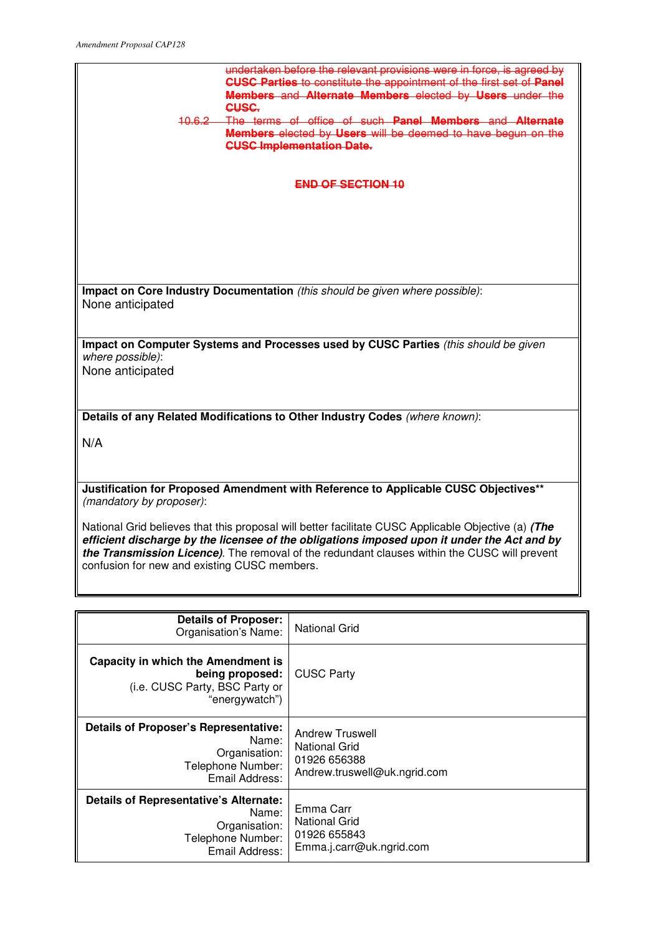

| <b>Details of Proposer:</b><br>Organisation's Name:                                                       | National Grid                                                                           |
|-----------------------------------------------------------------------------------------------------------|-----------------------------------------------------------------------------------------|
| Capacity in which the Amendment is<br>being proposed:<br>(i.e. CUSC Party, BSC Party or<br>"energywatch") | <b>CUSC Party</b>                                                                       |
| Details of Proposer's Representative:<br>Name:<br>Organisation:<br>Telephone Number:<br>Email Address:    | Andrew Truswell<br><b>National Grid</b><br>01926 656388<br>Andrew.truswell@uk.ngrid.com |
| Details of Representative's Alternate:<br>Name:<br>Organisation:<br>Telephone Number:<br>Email Address:   | Emma Carr<br><b>National Grid</b><br>01926 655843<br>Emma.j.carr@uk.ngrid.com           |